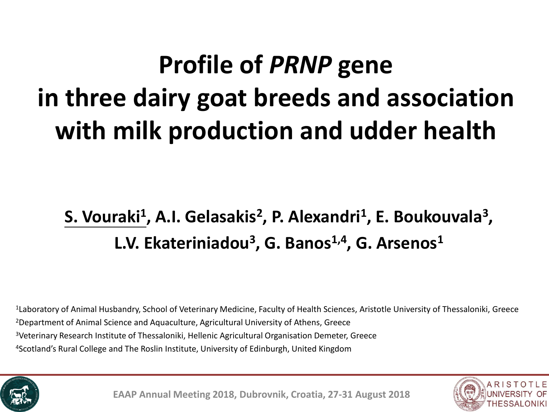# **Profile of** *PRNP* **gene in three dairy goat breeds and association with milk production and udder health**

## **S. Vouraki<sup>1</sup> , A.I. Gelasakis<sup>2</sup> , P. Alexandri<sup>1</sup> , E. Boukouvala<sup>3</sup> , L.V. Ekateriniadou<sup>3</sup> , G. Banos1,4 , G. Arsenos1**

Laboratory of Animal Husbandry, School of Veterinary Medicine, Faculty of Health Sciences, Aristotle University of Thessaloniki, Greece Department of Animal Science and Aquaculture, Agricultural University of Athens, Greece <sup>3</sup>Veterinary Research Institute of Thessaloniki, Hellenic Agricultural Organisation Demeter, Greece Scotland's Rural College and The Roslin Institute, University of Edinburgh, United Kingdom



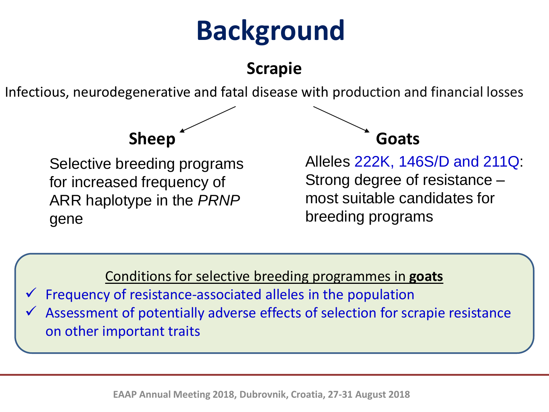# **Background**

**Scrapie**

Infectious, neurodegenerative and fatal disease with production and financial losses

Selective breeding programs for increased frequency of ARR haplotype in the *PRNP* gene



Alleles 222K, 146S/D and 211Q: Strong degree of resistance – most suitable candidates for breeding programs

Conditions for selective breeding programmes in **goats**

Frequency of resistance-associated alleles in the population

Assessment of potentially adverse effects of selection for scrapie resistance on other important traits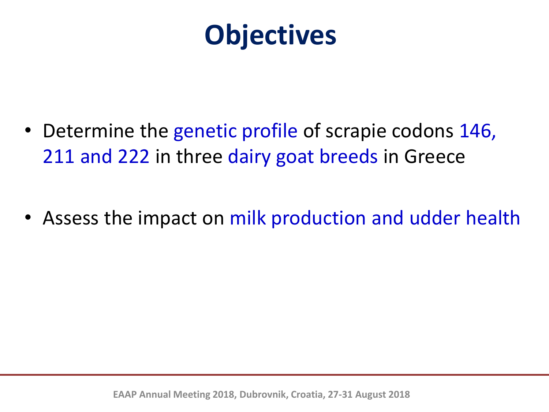

- Determine the genetic profile of scrapie codons 146, 211 and 222 in three dairy goat breeds in Greece
- Assess the impact on milk production and udder health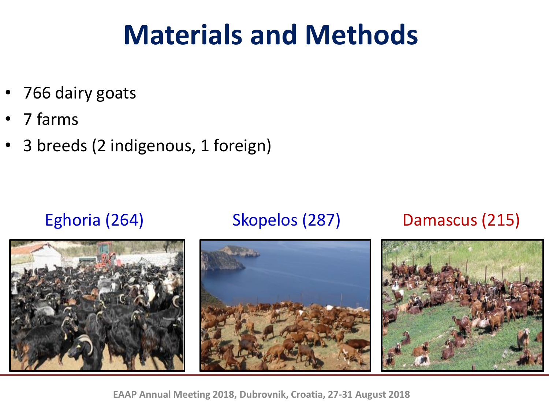- 766 dairy goats
- 7 farms
- 3 breeds (2 indigenous, 1 foreign)

#### Eghoria (264) Skopelos (287) Damascus (215)

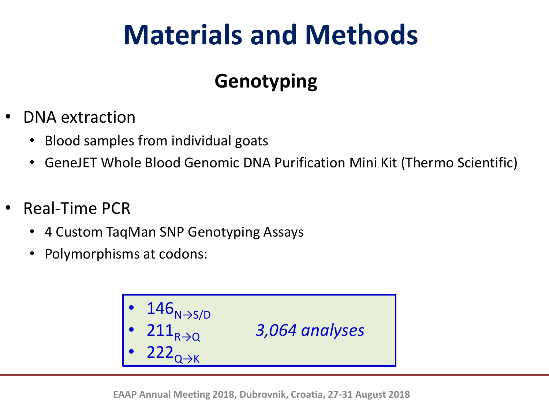## **Genotyping**

- DNA extraction
	- Blood samples from individual goats
	- GeneJET Whole Blood Genomic DNA Purification Mini Kit (Thermo Scientific)
- Real-Time PCR
	- 4 Custom TaqMan SNP Genotyping Assays
	- Polymorphisms at codons:

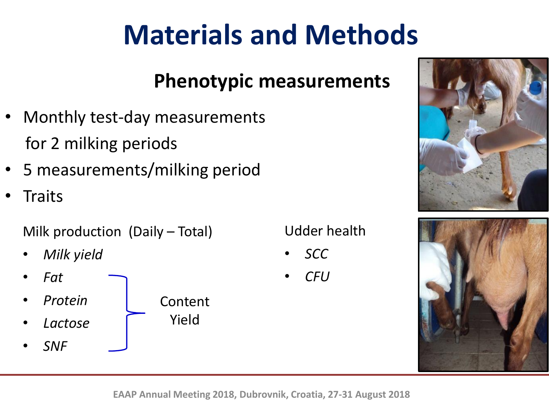## **Phenotypic measurements**

- Monthly test-day measurements for 2 milking periods
- 5 measurements/milking period
- **Traits**

Milk production (Daily – Total)

- *Milk yield*
- *Fat* • *Protein* • *Lactose* Content Yield
- *SNF*

Udder health

- *SCC*
- *CFU*



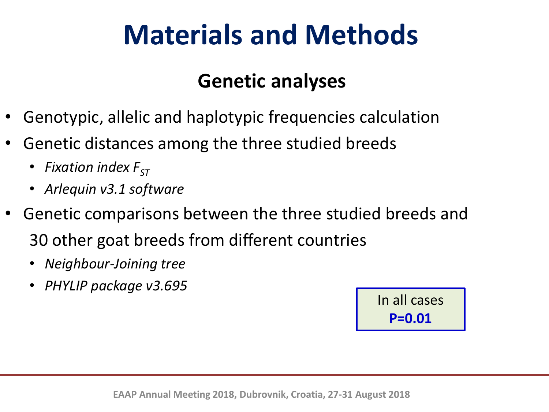### **Genetic analyses**

- Genotypic, allelic and haplotypic frequencies calculation
- Genetic distances among the three studied breeds
	- *Fixation index*  $F_{ST}$
	- *Arlequin v3.1 software*
- Genetic comparisons between the three studied breeds and 30 other goat breeds from different countries
	- *Neighbour-Joining tree*
	- *PHYLIP package v3.695*

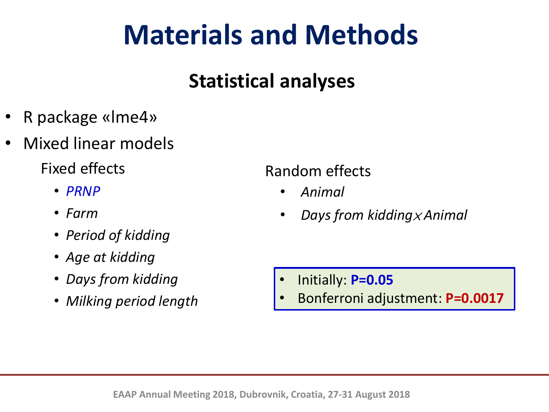## **Statistical analyses**

- R package «lme4»
- Mixed linear models

Fixed effects

- *PRNP*
- *Farm*
- *Period of kidding*
- *Age at kidding*
- *Days from kidding*
- *Milking period length*

#### Random effects

- *Animal*
- *Days from kidding*<sup>×</sup> *Animal*

- Initially: **P=0.05**
- Bonferroni adjustment: **P=0.0017**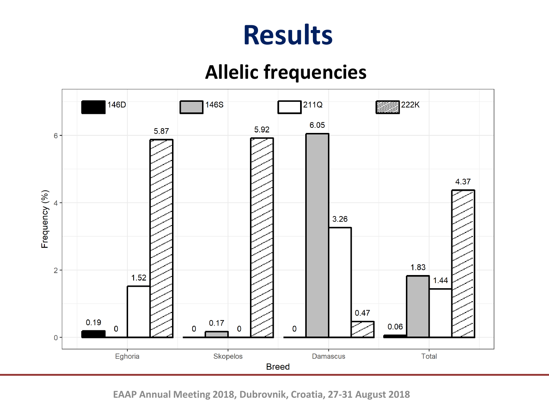### **Allelic frequencies**

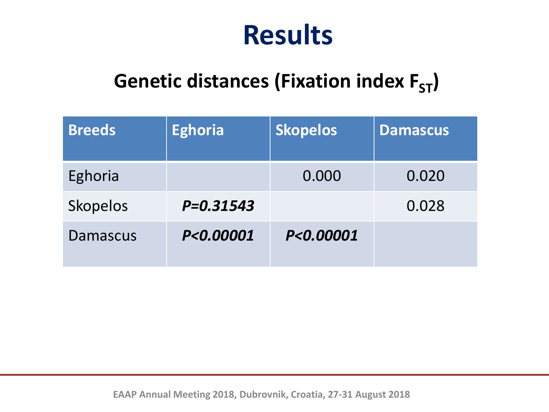## **Genetic distances (Fixation index F<sub>ST</sub>)**

| <b>Breeds</b>   | <b>Eghoria</b> | <b>Skopelos</b> | <b>Damascus</b> |
|-----------------|----------------|-----------------|-----------------|
| Eghoria         |                | 0.000           | 0.020           |
| <b>Skopelos</b> | $P = 0.31543$  |                 | 0.028           |
| Damascus        | P<0.00001      | P<0.00001       |                 |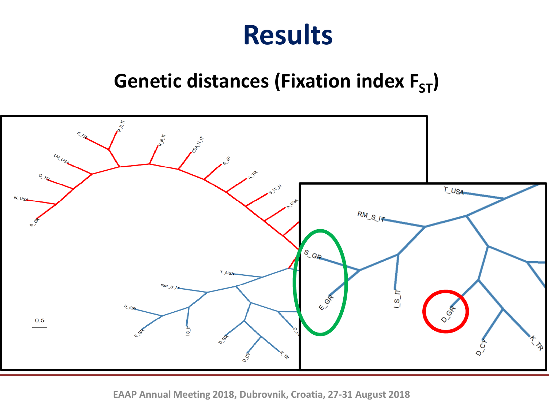## **Genetic distances (Fixation index F<sub>ST</sub>)**

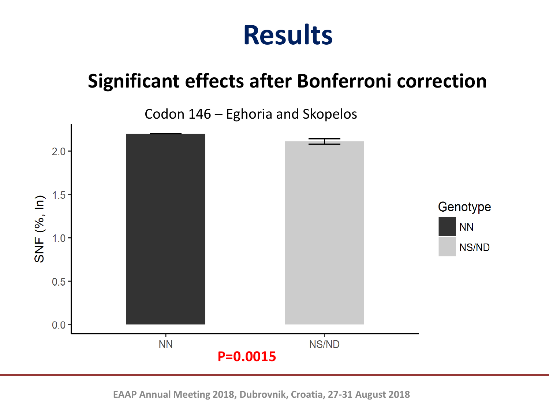## **Significant effects after Bonferroni correction**

Codon 146 – Eghoria and Skopelos

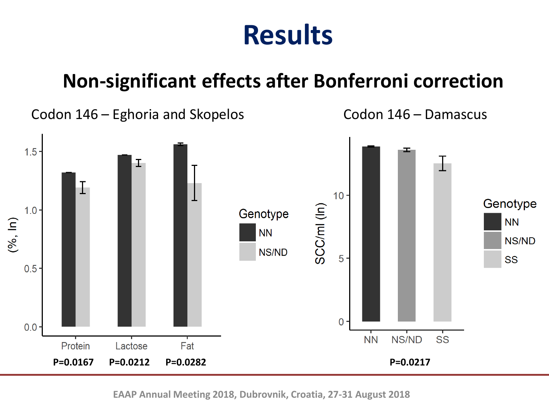#### **Non-significant effects after Bonferroni correction**

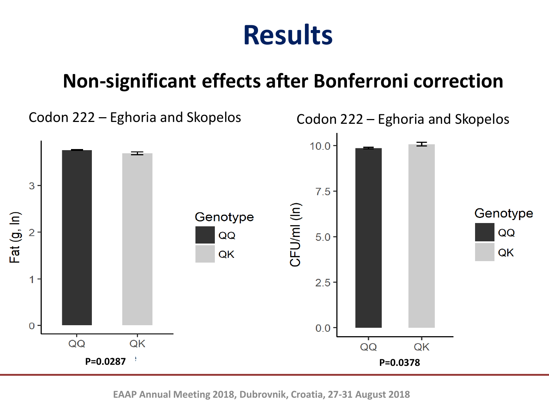### **Non-significant effects after Bonferroni correction**

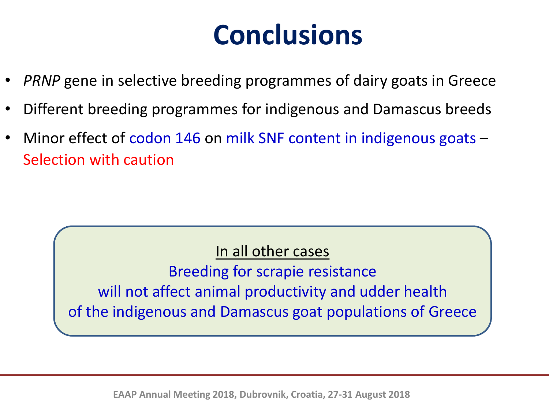# **Conclusions**

- *PRNP* gene in selective breeding programmes of dairy goats in Greece
- Different breeding programmes for indigenous and Damascus breeds
- Minor effect of codon 146 on milk SNF content in indigenous goats -Selection with caution

In all other cases

Breeding for scrapie resistance will not affect animal productivity and udder health of the indigenous and Damascus goat populations of Greece